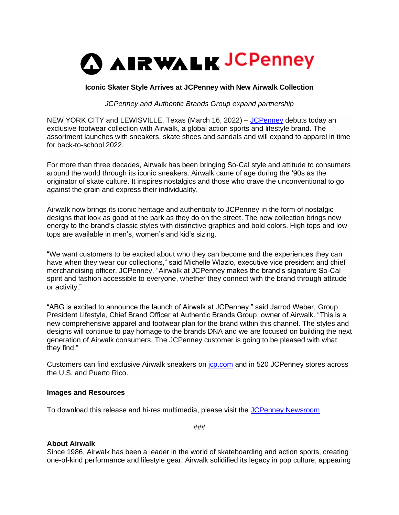

# **Iconic Skater Style Arrives at JCPenney with New Airwalk Collection**

*JCPenney and Authentic Brands Group expand partnership*

NEW YORK CITY and LEWISVILLE, Texas (March 16, 2022) – [JCPenney](https://www.jcpenney.com/) debuts today an exclusive footwear collection with Airwalk, a global action sports and lifestyle brand. The assortment launches with sneakers, skate shoes and sandals and will expand to apparel in time for back-to-school 2022.

For more than three decades, Airwalk has been bringing So-Cal style and attitude to consumers around the world through its iconic sneakers. Airwalk came of age during the '90s as the originator of skate culture. It inspires nostalgics and those who crave the unconventional to go against the grain and express their individuality.

Airwalk now brings its iconic heritage and authenticity to JCPenney in the form of nostalgic designs that look as good at the park as they do on the street. The new collection brings new energy to the brand's classic styles with distinctive graphics and bold colors. High tops and low tops are available in men's, women's and kid's sizing.

"We want customers to be excited about who they can become and the experiences they can have when they wear our collections," said Michelle Wlazlo, executive vice president and chief merchandising officer, JCPenney. "Airwalk at JCPenney makes the brand's signature So-Cal spirit and fashion accessible to everyone, whether they connect with the brand through attitude or activity."

"ABG is excited to announce the launch of Airwalk at JCPenney," said Jarrod Weber, Group President Lifestyle, Chief Brand Officer at Authentic Brands Group, owner of Airwalk. "This is a new comprehensive apparel and footwear plan for the brand within this channel. The styles and designs will continue to pay homage to the brands DNA and we are focused on building the next generation of Airwalk consumers. The JCPenney customer is going to be pleased with what they find."

Customers can find exclusive Airwalk sneakers on [jcp.com](https://www.jcpenney.com/g/brand?brand=airwalk) and in 520 JCPenney stores across the U.S. and Puerto Rico.

### **Images and Resources**

To download this release and hi-res multimedia, please visit the [JCPenney Newsroom.](https://www.jcpnewsroom.com/index.html)

###

# **About Airwalk**

Since 1986, Airwalk has been a leader in the world of skateboarding and action sports, creating one-of-kind performance and lifestyle gear. Airwalk solidified its legacy in pop culture, appearing